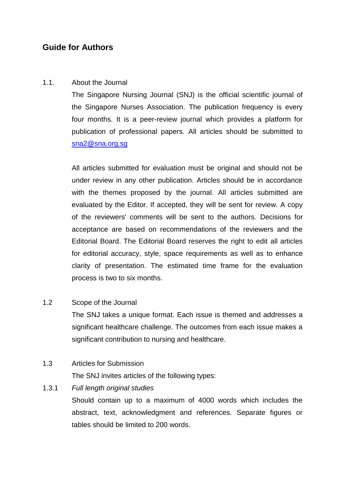# **Guide for Authors**

# 1.1. About the Journal

The Singapore Nursing Journal (SNJ) is the official scientific journal of the Singapore Nurses Association. The publication frequency is every four months. It is a peer-review journal which provides a platform for publication of professional papers. All articles should be submitted to [sna2@sna.org.sg](mailto:sna2@sna.org.sg)

All articles submitted for evaluation must be original and should not be under review in any other publication. Articles should be in accordance with the themes proposed by the journal. All articles submitted are evaluated by the Editor. If accepted, they will be sent for review. A copy of the reviewers' comments will be sent to the authors. Decisions for acceptance are based on recommendations of the reviewers and the Editorial Board. The Editorial Board reserves the right to edit all articles for editorial accuracy, style, space requirements as well as to enhance clarity of presentation. The estimated time frame for the evaluation process is two to six months.

# 1.2 Scope of the Journal

The SNJ takes a unique format. Each issue is themed and addresses a significant healthcare challenge. The outcomes from each issue makes a significant contribution to nursing and healthcare.

# 1.3 Articles for Submission

The SNJ invites articles of the following types:

# 1.3.1 *Full length original studies*

Should contain up to a maximum of 4000 words which includes the abstract, text, acknowledgment and references. Separate figures or tables should be limited to 200 words.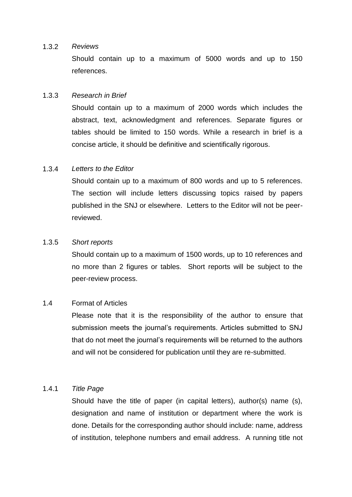#### 1.3.2 *Reviews*

Should contain up to a maximum of 5000 words and up to 150 references.

# 1.3.3 *Research in Brief*

Should contain up to a maximum of 2000 words which includes the abstract, text, acknowledgment and references. Separate figures or tables should be limited to 150 words. While a research in brief is a concise article, it should be definitive and scientifically rigorous.

### 1.3.4 *Letters to the Editor*

Should contain up to a maximum of 800 words and up to 5 references. The section will include letters discussing topics raised by papers published in the SNJ or elsewhere. Letters to the Editor will not be peerreviewed.

#### 1.3.5 *Short reports*

Should contain up to a maximum of 1500 words, up to 10 references and no more than 2 figures or tables. Short reports will be subject to the peer-review process.

#### 1.4 Format of Articles

Please note that it is the responsibility of the author to ensure that submission meets the journal's requirements. Articles submitted to SNJ that do not meet the journal's requirements will be returned to the authors and will not be considered for publication until they are re-submitted.

#### 1.4.1 *Title Page*

Should have the title of paper (in capital letters), author(s) name (s), designation and name of institution or department where the work is done. Details for the corresponding author should include: name, address of institution, telephone numbers and email address. A running title not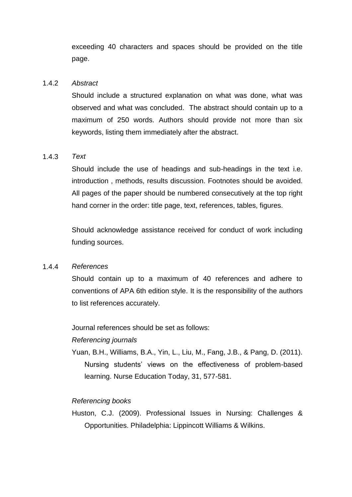exceeding 40 characters and spaces should be provided on the title page.

# 1.4.2 *Abstract*

Should include a structured explanation on what was done, what was observed and what was concluded. The abstract should contain up to a maximum of 250 words. Authors should provide not more than six keywords, listing them immediately after the abstract.

# 1.4.3 *Text*

Should include the use of headings and sub-headings in the text i.e. introduction , methods, results discussion. Footnotes should be avoided. All pages of the paper should be numbered consecutively at the top right hand corner in the order: title page, text, references, tables, figures.

Should acknowledge assistance received for conduct of work including funding sources.

#### 1.4.4 *References*

Should contain up to a maximum of 40 references and adhere to conventions of APA 6th edition style. It is the responsibility of the authors to list references accurately.

Journal references should be set as follows:

*Referencing journals*

Yuan, B.H., Williams, B.A., Yin, L., Liu, M., Fang, J.B., & Pang, D. (2011). Nursing students' views on the effectiveness of problem-based learning. Nurse Education Today, 31, 577-581.

# *Referencing books*

Huston, C.J. (2009). Professional Issues in Nursing: Challenges & Opportunities. Philadelphia: Lippincott Williams & Wilkins.